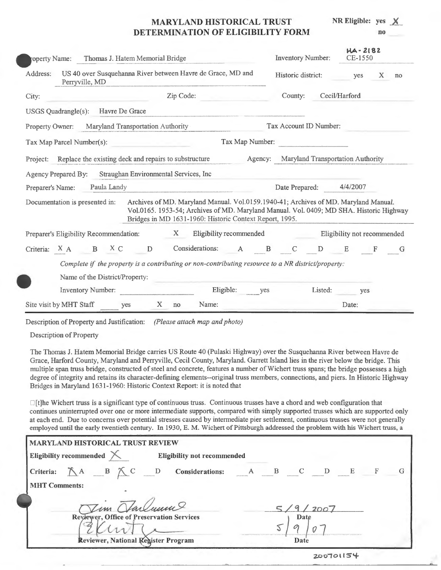# **MARYLAND HISTORICAL TRUST DETERMINATION OF ELIGIBILITY FORM**

**NR Eligible:** yes **no x** 

| Thomas J. Hatem Memorial Bridge<br>roperty Name:                                                                                                                                                                                                                            | <b>Inventory Number:</b>                  | $HA - 2182$<br>CE-1550      |  |  |  |  |  |
|-----------------------------------------------------------------------------------------------------------------------------------------------------------------------------------------------------------------------------------------------------------------------------|-------------------------------------------|-----------------------------|--|--|--|--|--|
| US 40 over Susquehanna River between Havre de Grace, MD and<br>Address:<br>Perryville, MD                                                                                                                                                                                   | Historic district:                        | $\mathbf{X}$<br>yes<br>no   |  |  |  |  |  |
| Zip Code:<br>City:                                                                                                                                                                                                                                                          | Cecil/Harford<br>County:                  |                             |  |  |  |  |  |
| USGS Quadrangle(s):<br>Havre De Grace                                                                                                                                                                                                                                       |                                           |                             |  |  |  |  |  |
| Maryland Transportation Authority<br><b>Property Owner:</b>                                                                                                                                                                                                                 | Tax Account ID Number:                    |                             |  |  |  |  |  |
| Tax Map Number:<br>Tax Map Parcel Number(s):                                                                                                                                                                                                                                |                                           |                             |  |  |  |  |  |
| Project: Replace the existing deck and repairs to substructure                                                                                                                                                                                                              | Agency: Maryland Transportation Authority |                             |  |  |  |  |  |
| Agency Prepared By: Straughan Environmental Services, Inc.                                                                                                                                                                                                                  |                                           |                             |  |  |  |  |  |
| Paula Landy<br>Preparer's Name:                                                                                                                                                                                                                                             | Date Prepared: 4/4/2007                   |                             |  |  |  |  |  |
| Archives of MD. Maryland Manual. Vol.0159.1940-41; Archives of MD. Maryland Manual.<br>Documentation is presented in:<br>Vol.0165. 1953-54; Archives of MD. Maryland Manual. Vol. 0409; MD SHA. Historic Highway<br>Bridges in MD 1631-1960: Historic Context Report, 1995. |                                           |                             |  |  |  |  |  |
| X<br>Eligibility recommended<br>Preparer's Eligibility Recommendation:                                                                                                                                                                                                      |                                           | Eligibility not recommended |  |  |  |  |  |
| Criteria: X A B X C D<br>Considerations: A B C D E F G                                                                                                                                                                                                                      |                                           |                             |  |  |  |  |  |
| Complete if the property is a contributing or non-contributing resource to a NR district/property:<br>Name of the District/Property:                                                                                                                                        |                                           |                             |  |  |  |  |  |
| Eligible:<br><b>Inventory Number:</b><br>yes                                                                                                                                                                                                                                | Listed:                                   | yes                         |  |  |  |  |  |
|                                                                                                                                                                                                                                                                             |                                           |                             |  |  |  |  |  |

Description of Property and Justification: *(Please attach map and photo)* 

Description of Property

The Thomas J. Hatem Memorial Bridge carries US Route 40 (Pulaski Highway) over the Susquehanna River between Havre de Grace, Harford County, Maryland and Perryville, Cecil County, Maryland. Garrett Island lies in the river below the bridge. This multiple span truss bridge, constructed of steel and concrete, features a number of Wichert truss spans; the bridge possesses a high degree of integrity and retains its character-defining elements--original truss members, connections, and piers. In Historic Highway Bridges in Maryland 1631-1960: Historic Context Report: it is noted that

 $\Box$  [t]he Wichert truss is a significant type of continuous truss. Continuous trusses have a chord and web configuration that continues uninterrupted over one or more intermediate supports, compared with simply supported trusses which are supported only at each end. Due to concerns over potential stresses caused by intermediate pier settlement, continuous trusses were not generally employed until the early twentieth century. In 1930, E. M. Wichert of Pittsburgh addressed the problem with his Wichert truss, a

| <b>MARYLAND HISTORICAL TRUST REVIEW</b>                                                 |                                                                     |
|-----------------------------------------------------------------------------------------|---------------------------------------------------------------------|
| Eligibility recommended $\times$<br><b>Eligibility not recommended</b>                  |                                                                     |
| Criteria: $\mathbb{A}$ $\mathbb{B}$ $\mathbb{C}$ $\mathbb{D}$<br><b>Considerations:</b> | $\mathbf{B}$<br>$\overline{C}$<br>E<br>$\mathbf{F}$<br>$\mathbf{D}$ |
| <b>MHT Comments:</b>                                                                    |                                                                     |
| Jim Harlunne                                                                            | $'$ 2007                                                            |
| Reviewer, Office of Preservation Services                                               | Date                                                                |
|                                                                                         |                                                                     |
| Reviewer, National Register Program                                                     | Date                                                                |
|                                                                                         | the company of the company of the company of                        |

**z.00101 IS''-4-**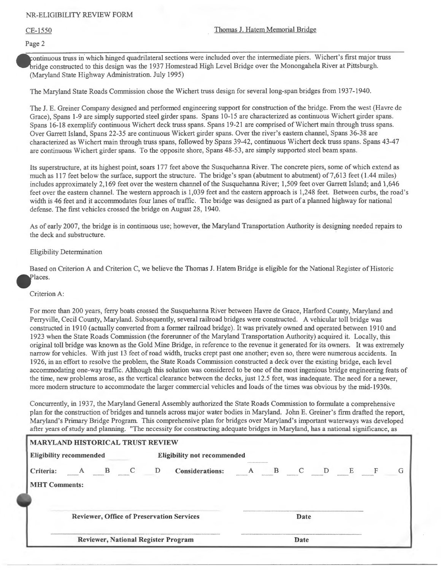#### Page 2

ontinuous truss in which hinged quadrilateral sections were included over the intermediate piers. Wichert's first major truss ridge constructed to this design was the 1937 Homestead High Level Bridge over the Monongahela River at Pittsburgh. (Maryland State Highway Administration. July 1995)

The Maryland State Roads Commission chose the Wichert truss design for several long-span bridges from 1937-1940.

The J. E. Greiner Company designed and performed engineering support for construction of the bridge. From the west (Havre de Grace), Spans 1-9 are simply supported steel girder spans. Spans 10-15 are characterized as continuous Wichert girder spans. Spans 16-18 exemplify continuous Wichert deck truss spans. Spans 19-21 are comprised of Wichert main through truss spans. Over Garrett Island, Spans 22-35 are continuous Wickert girder spans. Over the river's eastern channel, Spans 36-38 are characterized as Wichert main through truss spans, followed by Spans 39-42, continuous Wichert deck truss spans. Spans 43-47 are continuous Wichert girder spans. To the opposite shore, Spans 48-53, are simply supported steel beam spans.

Its superstructure, at its highest point, soars 177 feet above the Susquehanna River. The concrete piers, some of which extend as much as 117 feet below the surface, support the structure. The bridge's span (abutment to abutment) of 7,613 feet (1.44 miles) includes approximately 2, 169 feet over the western channel of the Susquehanna River; 1,509 feet over Garrett Island; and 1,646 feet over the eastern channel. The western approach is 1,039 feet and the eastern approach is 1,248 feet. Between curbs, the road's width is 46 feet and it accommodates four lanes of traffic. The bridge was designed as part of a planned highway for national defense. The first vehicles crossed the bridge on August 28, 1940.

As of early 2007, the bridge is in continuous use; however, the Maryland Transportation Authority is designing needed repairs to the deck and substructure.

### Eligibility Determination

Based on Criterion A and Criterion C, we believe the Thomas J. Hatem Bridge is eligible for the National Register of Historic Places.

### Criterion A:

For more than 200 years, ferry boats crossed the Susquehanna River between Havre de Grace, Harford County, Maryland and Perryville, Cecil County, Maryland. Subsequently, several railroad bridges were constructed. A vehicular toll bridge was constructed in 1910 (actually converted from a former railroad bridge). It was privately owned and operated between 1910 and 1923 when the State Roads Commission (the forerunner of the Maryland Transportation Authority) acquired it. Locally, this original toll bridge was known as the Gold Mine Bridge, in reference to the revenue it generated for its owners. It was extremely narrow for vehicles. With just 13 feet of road width, trucks crept past one another; even so, there were numerous accidents. In 1926, in an effort to resolve the problem, the State Roads Commission constructed a deck over the existing bridge, each level accommodating one-way traffic. Although this solution was considered to be one of the most ingenious bridge engineering feats of the time, new problems arose, as the vertical clearance between the decks, just 12.5 feet, was inadequate. The need for a newer, more modem structure to accommodate the larger commercial vehicles and loads of the times was obvious by the mid-1930s.

Concurrently, in 1937, the Maryland General Assembly authorized the State Roads Commission to formulate a comprehensive plan for the construction of bridges and tunnels across major water bodies in Maryland. John E. Greiner's firm drafted the report, Maryland's Primary Bridge Program. This comprehensive plan for bridges over Maryland's important waterways was developed after years of study and planning. "The necessity for constructing adequate bridges in Maryland, has a national significance, as

| <b>MARYLAND HISTORICAL TRUST REVIEW</b> |  |                                    |                                            |   |   |      |   |   |   |
|-----------------------------------------|--|------------------------------------|--------------------------------------------|---|---|------|---|---|---|
| <b>Eligibility recommended</b>          |  | <b>Eligibility not recommended</b> |                                            |   |   |      |   |   |   |
| Criteria:                               |  | D                                  | <b>Considerations:</b>                     | А | B |      | D | E | G |
| <b>MHT Comments:</b>                    |  |                                    | Reviewer, Office of Preservation Services  |   |   | Date |   |   |   |
|                                         |  |                                    | <b>Reviewer, National Register Program</b> |   |   | Date |   |   |   |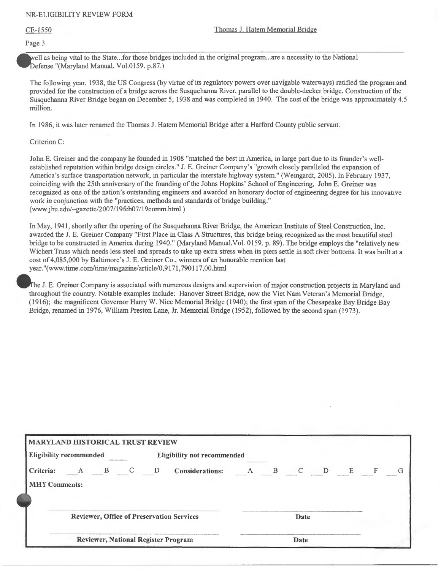### CE-1550 Thomas J. Hatem Memorial Bridge

Page 3

well as being vital to the State... for those bridges included in the original program... are a necessity to the National Defense."(Maryland Manual. Vol.0159. p.87.)

The following year, 1938, the US Congress (by virtue of its regulatory powers over navigable waterways) ratified the program and provided for the construction of a bridge across the Susquehanna River, parallel to the double-decker bridge. Construction of the Susquehanna River Bridge began on December 5, 1938 and was completed in 1940. The cost of the bridge was approximately 4.5 million.

In 1986, it was later renamed the Thomas J. Hatem Memorial Bridge after a Harford County public servant.

Criterion C:

John E. Greiner and the company he founded in 1908 "matched the best in America, in large part due to its founder's wellestablished reputation within bridge design circles." J. E. Greiner Company's "growth closely paralleled the expansion of America's surface transportation network, in particular the interstate highway system." (Weingardt, 2005). In February 1937, coinciding with the 25th anniversary of the founding of the Johns Hopkins' School of Engineering, John E. Greiner was recognized as one of the nation's outstanding engineers and awarded an honorary doctor of engineering degree for his innovative work in conjunction with the "practices, methods and standards of bridge building." (www.jhu.edu/~gazette 2007/19feb07 19comm.html)

In May, 1941, shortly after the opening of the Susquehanna River Bridge, the American Institute of Steel Construction, Inc. awarded the J.E. Greiner Company "First Place in Class A Structures, this bridge being recognized as the most beautiful steel bridge to be constructed in America during 1940." (Maryland Manual.Vol. 0159. p. 89). The bridge employs the "relatively new Wichert Truss which needs less steel and spreads to take up extra stress when its piers settle in soft river bottoms. It was built at a cost of 4,085,000 by Baltimore's J.E. Greiner Co., winners of an honorable mention last year."(www.time.com/time/magazine/article/0,9171,790117,00.html

he J.E. Greiner Company is associated with numerous designs and supervision of major construction projects in Maryland and throughout the country. Notable examples include: Hanover Street Bridge, now the Viet Nam Veteran's Memorial Bridge, (1916); the magnificent Governor Harry W. Nice Memorial Bridge (1940); the first span of the Chesapeake Bay Bridge Bay Bridge, renamed in 1976, William Preston Lane, Jr. Memorial Bridge (1952), followed by the second span (1973).

|                      | <b>Eligibility recommended</b> |               | <b>Eligibility not recommended</b> |                                                  |  |              |              |   |   |   |  |
|----------------------|--------------------------------|---------------|------------------------------------|--------------------------------------------------|--|--------------|--------------|---|---|---|--|
| Criteria:            | B                              | $\mathcal{C}$ | D                                  | <b>Considerations:</b>                           |  | $\mathbf{B}$ | $\mathbf{C}$ | D | E | F |  |
| <b>MHT Comments:</b> |                                |               |                                    |                                                  |  |              |              |   |   |   |  |
|                      |                                |               |                                    |                                                  |  |              |              |   |   |   |  |
|                      |                                |               |                                    |                                                  |  |              |              |   |   |   |  |
|                      |                                |               |                                    | <b>Reviewer, Office of Preservation Services</b> |  |              | Date         |   |   |   |  |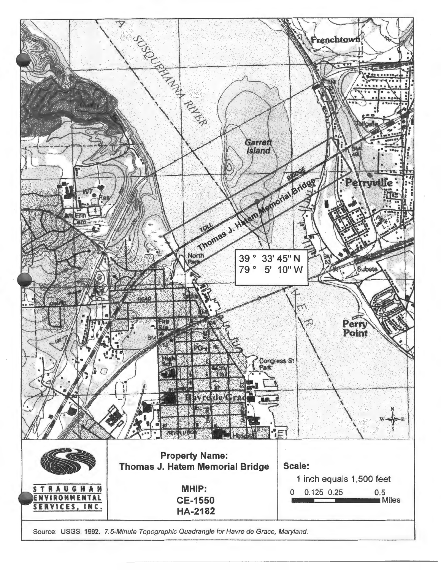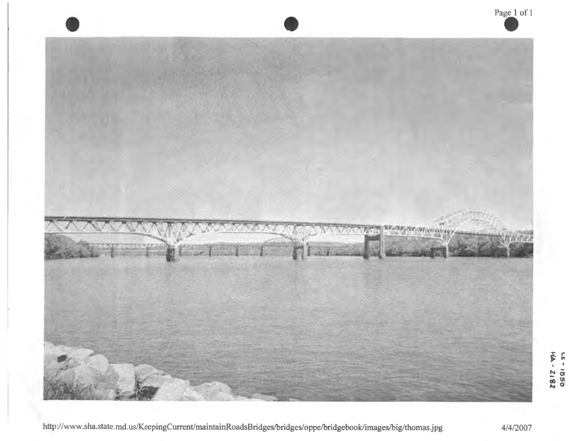

4/4/2007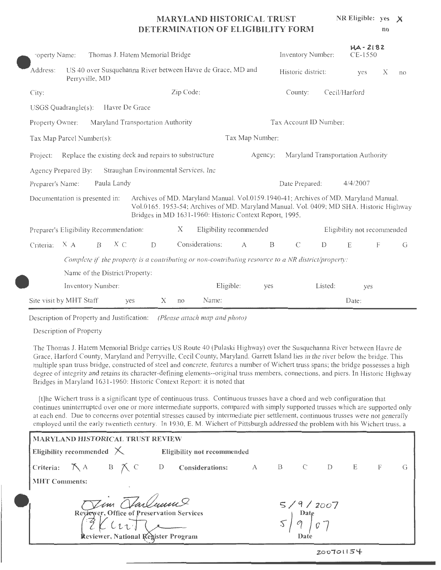#### **MARYLAND HISTORICAL TRUST DETERMINATION OF ELIGIBILITY FORM NR Eligible:** yes **X no**

|                                                                                                                                                                                                                                                                                                                                                                                                                                                                                                                                                                                                                                                                                                                                                                                                                                                                                                                                                                       |                                                                                                                                      |  |     |   |                        |                                   |     | Inventory Number:  | $HA - 2182$<br>CE-1550 |                             |   |    |
|-----------------------------------------------------------------------------------------------------------------------------------------------------------------------------------------------------------------------------------------------------------------------------------------------------------------------------------------------------------------------------------------------------------------------------------------------------------------------------------------------------------------------------------------------------------------------------------------------------------------------------------------------------------------------------------------------------------------------------------------------------------------------------------------------------------------------------------------------------------------------------------------------------------------------------------------------------------------------|--------------------------------------------------------------------------------------------------------------------------------------|--|-----|---|------------------------|-----------------------------------|-----|--------------------|------------------------|-----------------------------|---|----|
| Address:                                                                                                                                                                                                                                                                                                                                                                                                                                                                                                                                                                                                                                                                                                                                                                                                                                                                                                                                                              |                                                                                                                                      |  |     |   |                        |                                   |     | Historic district: |                        | yes                         | Х | no |
| City:                                                                                                                                                                                                                                                                                                                                                                                                                                                                                                                                                                                                                                                                                                                                                                                                                                                                                                                                                                 |                                                                                                                                      |  |     |   |                        |                                   |     | County:            |                        | Cecil/Harford               |   |    |
|                                                                                                                                                                                                                                                                                                                                                                                                                                                                                                                                                                                                                                                                                                                                                                                                                                                                                                                                                                       |                                                                                                                                      |  |     |   |                        |                                   |     |                    |                        |                             |   |    |
|                                                                                                                                                                                                                                                                                                                                                                                                                                                                                                                                                                                                                                                                                                                                                                                                                                                                                                                                                                       | Maryland Transportation Authority<br>Replace the existing deck and repairs to substructure<br>Straughan Environmental Services, Inc. |  |     |   | Tax Account ID Number: |                                   |     |                    |                        |                             |   |    |
| Thomas J. Hatem Memorial Bridge<br>"operty Name:<br>US 40 over Susquehanna River between Havre de Grace, MD and<br>Perryville, MD<br>Zip Code:<br>Havre De Grace<br>USGS Quadrangle(s):<br>Property Owner:<br>Tax Map Number:<br>Tax Map Parcel Number(s):<br>Agency:<br>Project:<br>Agency Prepared By:<br>Paula Landy<br>Preparer's Name:<br>Archives of MD. Maryland Manual. Vol.0159.1940-41; Archives of MD. Maryland Manual.<br>Documentation is presented in:<br>Vol.0165. 1953-54; Archives of MD. Maryland Manual. Vol. 0409; MD SHA. Historic Highway<br>Bridges in MD 1631-1960: Historic Context Report, 1995.<br>X<br>Eligibility recommended<br>Preparer's Eligibility Recommendation:<br>Considerations:<br>$\mathcal{C}$<br>$X \subset$<br>$\mathbf{B}$<br>Criteria: X A<br>$\mathbf{B}$<br>D<br>$\mathbf{A}$<br>Complete if the property is a contributing or non-contributing resource to a NR district/property:<br>Name of the District/Property: |                                                                                                                                      |  |     |   |                        |                                   |     |                    |                        |                             |   |    |
|                                                                                                                                                                                                                                                                                                                                                                                                                                                                                                                                                                                                                                                                                                                                                                                                                                                                                                                                                                       |                                                                                                                                      |  |     |   |                        | Maryland Transportation Authority |     |                    |                        |                             |   |    |
|                                                                                                                                                                                                                                                                                                                                                                                                                                                                                                                                                                                                                                                                                                                                                                                                                                                                                                                                                                       |                                                                                                                                      |  |     |   |                        |                                   |     |                    |                        |                             |   |    |
|                                                                                                                                                                                                                                                                                                                                                                                                                                                                                                                                                                                                                                                                                                                                                                                                                                                                                                                                                                       |                                                                                                                                      |  |     |   |                        |                                   |     | Date Prepared:     |                        | 4/4/2007                    |   |    |
|                                                                                                                                                                                                                                                                                                                                                                                                                                                                                                                                                                                                                                                                                                                                                                                                                                                                                                                                                                       |                                                                                                                                      |  |     |   |                        |                                   |     |                    |                        |                             |   |    |
|                                                                                                                                                                                                                                                                                                                                                                                                                                                                                                                                                                                                                                                                                                                                                                                                                                                                                                                                                                       |                                                                                                                                      |  |     |   |                        |                                   |     |                    |                        | Eligibility not recommended |   |    |
|                                                                                                                                                                                                                                                                                                                                                                                                                                                                                                                                                                                                                                                                                                                                                                                                                                                                                                                                                                       |                                                                                                                                      |  |     |   |                        |                                   |     |                    | D                      | E                           | F | G  |
|                                                                                                                                                                                                                                                                                                                                                                                                                                                                                                                                                                                                                                                                                                                                                                                                                                                                                                                                                                       |                                                                                                                                      |  |     |   |                        |                                   |     |                    |                        |                             |   |    |
|                                                                                                                                                                                                                                                                                                                                                                                                                                                                                                                                                                                                                                                                                                                                                                                                                                                                                                                                                                       |                                                                                                                                      |  |     |   |                        |                                   |     |                    |                        |                             |   |    |
|                                                                                                                                                                                                                                                                                                                                                                                                                                                                                                                                                                                                                                                                                                                                                                                                                                                                                                                                                                       | Inventory Number:                                                                                                                    |  |     |   |                        | Eligible:                         | yes |                    | Listed:                | yes                         |   |    |
| Site visit by MHT Staff                                                                                                                                                                                                                                                                                                                                                                                                                                                                                                                                                                                                                                                                                                                                                                                                                                                                                                                                               |                                                                                                                                      |  | yes | Χ | no                     | Name:                             |     |                    |                        | Date:                       |   |    |

Description of Property and Justification: *(Please attach map and photo)* 

Description of Property

The Thomas J. Hatem Memorial Bridge carries US Route 40 (Pulaski Highway) over the Susquehanna River between Havre de Grace, Harford County, Maryland and Perryville, Cecil County, Maryland. Garrett Island lies in the river below the bridge. This multiple span truss bridge, constructed of steel and concrete, features a number of Wichert truss spans; the bridge possesses a high degree of integrity and retains its character-defining elements--original truss members, connections, and piers. In Historic Highway Bridges in Maryland 1631-1960: Historic Context Report: it is noted that

[t]he Wichert truss is a significant type of continuous truss. Continuous trusses have a chord and web configuration that continues uninterrupted over one or more intermediate supports, compared with simply supported trusses which are supported only at each end. Due to concerns over potential stresses caused by intermediate pier settlement, continuous trusses were not generally employed until the early twentieth century. In 1930, E. M. Wichert of Pittsburgh addressed the problem with his Wichert truss, a

| <b>MARYLAND HISTORICAL TRUST</b> |  |                                                     |                                                                 |  |                          |          |  |  |
|----------------------------------|--|-----------------------------------------------------|-----------------------------------------------------------------|--|--------------------------|----------|--|--|
| Eligibility recommended $\times$ |  |                                                     | <b>Eligibility not recommended</b>                              |  |                          |          |  |  |
|                                  |  |                                                     | Criteria: <b>K</b> A B <b>K</b> C D Considerations: A B C D E F |  |                          |          |  |  |
| <b>MHT Comments:</b>             |  |                                                     |                                                                 |  |                          |          |  |  |
|                                  |  | Jim Tanlunne<br>Reviewer, National Register Program | Reviewer, Office of Preservation Services                       |  | 5/9/2007<br>Date<br>Date |          |  |  |
|                                  |  |                                                     |                                                                 |  |                          | -------- |  |  |

**z.00101 IS'{-**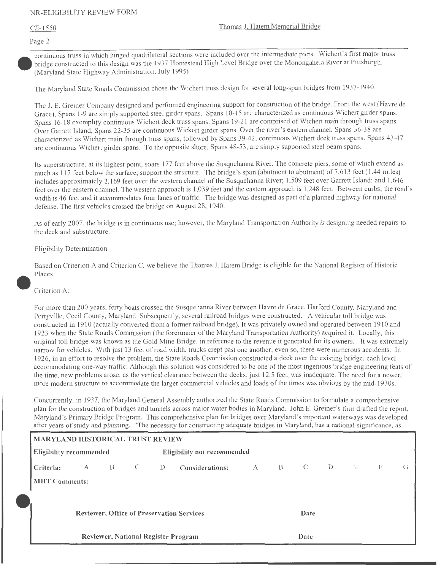Page 2

-::ontinuous truss in which hinged quadrilateral sections were included over the intermediate piers. Wichert's first major truss bridge constructed to this design was the 1937 Homestead High Level Bridge over the Monongahela River at Pittsburgh. (Maryland State Highway Administration. July 1995)

The Maryland State Roads Commission chose the Wichert truss design for several long-span bridges from 1937-1940.

The J. E. Greiner Company designed and performed engineering support for construction of the bridge. From the west (Havre de Grace), Spans 1-9 are simply supported steel girder spans. Spans 10-15 are characterized as continuous Wichert girder spans. Spans 16-18 exemplify continuous Wichert deck truss spans. Spans 19-21 are comprised of Wichert main through truss spans. Over Garrett Island, Spans 22-35 are continuous Wickert girder spans. Over the river's eastern channel, Spans 36-38 are characterized as Wichert main through truss spans, followed by Spans 39-42, continuous Wichert deck truss spans. Spans 43-47 are continuous Wichert girder spans. To the opposite shore, Spans 48-53 , are simply supported steel beam spans.

Its superstructure, at its highest point, soars 177 feet above the Susquehanna River. The concrete piers, some of which extend as much as  $117$  feet below the surface, support the structure. The bridge's span (abutment to abutment) of 7,613 feet (1.44 miles) includes approximately 2, 169 feet over the western channel of the Susquehanna River; 1,509 feet over Garrett Island; and 1,646 feet over the eastern channel. The western approach is 1,039 feet and the eastern approach is 1,248 feet. Between curbs, the road's width is 46 feet and it accommodates four lanes of traffic. The bridge was designed as part of a planned highway for national defense. The first vehicles crossed the bridge on August 28, 1940.

As of early 2007, the bridge is in continuous use; however, the Maryland Transportation Authority is designing needed repairs to the deck and substructure.

## Eligibility Determination

Based on Criterion A and Criterion C, we believe the Thomas J. Hatem Bridge is eligible for the National Register of Historic Places.

### Criterion A:

For more than 200 years, ferry boats crossed the Susquehanna River between Havre de Grace, Harford County, Maryland and Perryville, Cecil County, Maryland. Subsequently, several railroad bridges were constructed. A vehicular toll bridge was constructed in 1910 (actually converted from a former railroad bridge). It was privately owned and operated between 1910 and 1923 when the State Roads Commission (the forerunner of the Maryland Transportation Authority) acquired it. Locally, this original toll bridge was known as the Gold Mine Bridge, in reference to the revenue it generated for its owners. It was extremely narrow for vehicles. With just 13 feet of road width, trucks crept past one another; even so, there were numerous accidents. In 1926, in an effort to resolve the problem, the State Roads Commission constructed a deck over the existing bridge, each level accommodating one-way traffic. Although this solution was considered to be one of the most ingenious bridge engineering feats of the time, new problems arose, as the vertical clearance between the decks, just 12.5 feet, was inadequate. The need for a newer, more modern structure to accommodate the larger commercial vehicles and loads of the times was obvious by the mid-1930s.

Concurrently, in 1937, the Maryland General Assembly authorized the State Roads Commission to formulate a comprehensive plan for the construction of bridges and tunnels across major water bodies in Maryland. John E. Greiner's firm drafted the report, Maryland's Primary Bridge Program. This comprehensive plan for bridges over Maryland's important waterways was developed after years of study and planning. "The necessity for constructing adequate bridges in Maryland, has a national significance, as

| MARYLAND HISTORICAL TRUST REVIEW |   |   |  |                             |                                                  |   |   |                |    |              |   |   |  |
|----------------------------------|---|---|--|-----------------------------|--------------------------------------------------|---|---|----------------|----|--------------|---|---|--|
| <b>Eligibility recommended</b>   |   |   |  | Eligibility not recommended |                                                  |   |   |                |    |              |   |   |  |
| Criteria:                        | A | B |  | D.                          | Considerations:                                  | A | B | $\overline{C}$ | D. | $\mathbf{E}$ | F | G |  |
| <b>MHT Comments:</b>             |   |   |  |                             |                                                  |   |   |                |    |              |   |   |  |
|                                  |   |   |  |                             |                                                  |   |   |                |    |              |   |   |  |
|                                  |   |   |  |                             | <b>Reviewer, Office of Preservation Services</b> |   |   | Date           |    |              |   |   |  |
|                                  |   |   |  |                             | Reviewer, National Register Program              |   |   | Date           |    |              |   |   |  |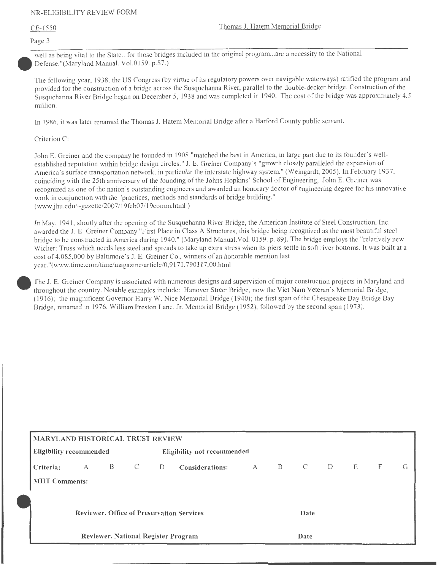#### Page 3

well as being vital to the State ... for those bridges included in the original program. .. are a necessity to the National Defense."(Maryland Manual. Vol.0159 . p.87.)

The following year, 1938, the US Congress (by virtue of its regulatory powers over navigable waterways) ratified the program and provided for the construction of a bridge across the Susquehanna River, parallel to the double-decker bridge. Construction of the Susquehanna River Bridge began on December 5, 1938 and was completed in 1940. The cost of the bridge was approximately 4.5 million.

In 1986, it was later renamed the Thomas J. Hatem Memorial Bridge after a Harford County public servant.

Criterion C:

John E. Greiner and the company he founded in 1908 "matched the best in America, in large part due to its founder's wellestablished reputation within bridge design circles." J. E. Greiner Company's "growth closely paralleled the expansion of America's surface transportation network, in particular the interstate highway system." (Weingardt, 2005). In February 1937, coinciding with the 25th anniversary of the founding of the Johns Hopkins' School of Engineering, John E. Greiner was recognized as one of the nation's outstanding engineers and awarded an honorary doctor of engineering degree for his innovative work in conjunction with the "practices, methods and standards of bridge building." (www.jhu.edu/-gazette/2007/ l 9feb07/ 19comm.html )

In May, 1941, shortly after the opening of the Susquehanna River Bridge, the American Institute of Steel Construction, Inc. awarded the **J.** E. Greiner Company "First Place in Class A Structures, this bridge being recognized as the most beautiful steel bridge to be constructed in America during 1940." (Maryland Manual.Vol. 0159. p. 89). The bridge employs the "relatively new Wichert Truss which needs less steel and spreads to take up extra stress when its piers settle in soft river bottoms. It was built at a cost of 4,085,000 by Baltimore's J. E. Greiner Co., winners of an honorable mention last year."(www.time.com/time/magazine/article/0,9171 ,790117,00.htrnl

fhe J. E. Greiner Company is associated with numerous designs and supervision of major construction projects in Maryland and throughout the country. Notable examples include: Hanover Street Bridge, now the Viet Nam Veteran's Memorial Bridge, (1916); the magnificent Governor Hany W. Nice Memorial Bridge (1940); the first span of the Chesapeake Bay Bridge Bay Bridge, renamed in 1976, William Preston Lane, Jr. Memorial Bridge ( 1952), followed by the second span ( 1973).

| MARYLAND HISTORICAL TRUST REVIEW |   |   |              |    |                                                  |   |              |                |   |   |   |   |
|----------------------------------|---|---|--------------|----|--------------------------------------------------|---|--------------|----------------|---|---|---|---|
| <b>Eligibility recommended</b>   |   |   |              |    | <b>Eligibility not recommended</b>               |   |              |                |   |   |   |   |
| Criteria:                        | A | B | $\mathbb{C}$ | D- | Considerations:                                  | A | $\mathbf{B}$ | $\overline{C}$ | D | E | F | G |
| <b>MHT Comments:</b>             |   |   |              |    |                                                  |   |              |                |   |   |   |   |
|                                  |   |   |              |    |                                                  |   |              |                |   |   |   |   |
|                                  |   |   |              |    | <b>Reviewer, Office of Preservation Services</b> |   |              | Date           |   |   |   |   |
|                                  |   |   |              |    |                                                  |   |              |                |   |   |   |   |
|                                  |   |   |              |    | Reviewer, National Register Program              |   |              | Date           |   |   |   |   |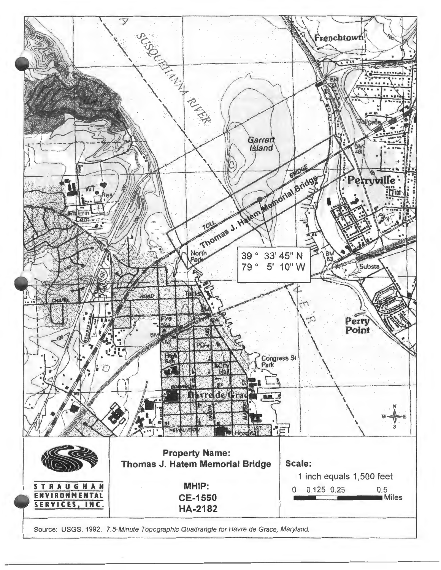